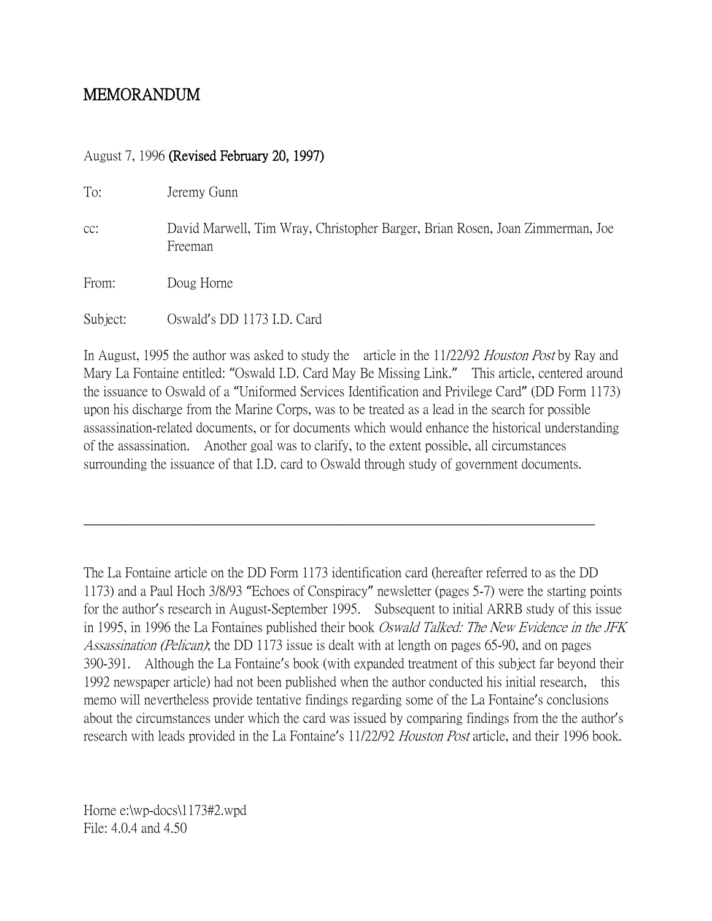# MEMORANDUM

## August 7, 1996 (Revised February 20, 1997)

To: Jeremy Gunn

cc: David Marwell, Tim Wray, Christopher Barger, Brian Rosen, Joan Zimmerman, Joe Freeman

From: Doug Horne

Subject: Oswald's DD 1173 I.D. Card

In August, 1995 the author was asked to study the article in the 11/22/92 *Houston Post* by Ray and Mary La Fontaine entitled: "Oswald I.D. Card May Be Missing Link." This article, centered around the issuance to Oswald of a "Uniformed Services Identification and Privilege Card" (DD Form 1173) upon his discharge from the Marine Corps, was to be treated as a lead in the search for possible assassination-related documents, or for documents which would enhance the historical understanding of the assassination. Another goal was to clarify, to the extent possible, all circumstances surrounding the issuance of that I.D. card to Oswald through study of government documents.

\_\_\_\_\_\_\_\_\_\_\_\_\_\_\_\_\_\_\_\_\_\_\_\_\_\_\_\_\_\_\_\_\_\_\_\_\_\_\_\_\_\_\_\_\_\_\_\_\_\_\_\_\_\_\_\_\_\_\_\_\_\_\_\_\_\_\_\_\_\_\_\_\_\_\_\_\_\_

The La Fontaine article on the DD Form 1173 identification card (hereafter referred to as the DD 1173) and a Paul Hoch 3/8/93 "Echoes of Conspiracy" newsletter (pages 5-7) were the starting points for the author's research in August-September 1995. Subsequent to initial ARRB study of this issue in 1995, in 1996 the La Fontaines published their book *Oswald Talked: The New Evidence in the JFK* Assassination (Pelican); the DD 1173 issue is dealt with at length on pages 65-90, and on pages 390-391. Although the La Fontaine's book (with expanded treatment of this subject far beyond their 1992 newspaper article) had not been published when the author conducted his initial research, this memo will nevertheless provide tentative findings regarding some of the La Fontaine's conclusions about the circumstances under which the card was issued by comparing findings from the the author's research with leads provided in the La Fontaine's 11/22/92 Houston Post article, and their 1996 book.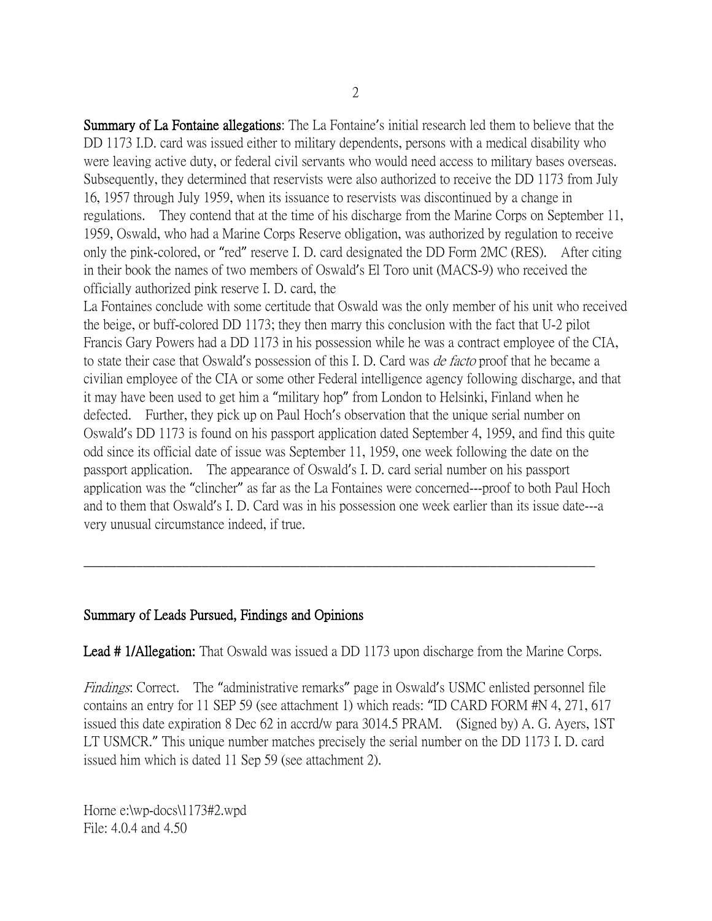Summary of La Fontaine allegations: The La Fontaine's initial research led them to believe that the DD 1173 I.D. card was issued either to military dependents, persons with a medical disability who were leaving active duty, or federal civil servants who would need access to military bases overseas. Subsequently, they determined that reservists were also authorized to receive the DD 1173 from July 16, 1957 through July 1959, when its issuance to reservists was discontinued by a change in regulations. They contend that at the time of his discharge from the Marine Corps on September 11, 1959, Oswald, who had a Marine Corps Reserve obligation, was authorized by regulation to receive only the pink-colored, or "red" reserve I. D. card designated the DD Form 2MC (RES). After citing in their book the names of two members of Oswald's El Toro unit (MACS-9) who received the officially authorized pink reserve I. D. card, the

La Fontaines conclude with some certitude that Oswald was the only member of his unit who received the beige, or buff-colored DD 1173; they then marry this conclusion with the fact that U-2 pilot Francis Gary Powers had a DD 1173 in his possession while he was a contract employee of the CIA, to state their case that Oswald's possession of this I. D. Card was *de facto* proof that he became a civilian employee of the CIA or some other Federal intelligence agency following discharge, and that it may have been used to get him a "military hop" from London to Helsinki, Finland when he defected. Further, they pick up on Paul Hoch's observation that the unique serial number on Oswald's DD 1173 is found on his passport application dated September 4, 1959, and find this quite odd since its official date of issue was September 11, 1959, one week following the date on the passport application. The appearance of Oswald's I. D. card serial number on his passport application was the "clincher" as far as the La Fontaines were concerned---proof to both Paul Hoch and to them that Oswald's I. D. Card was in his possession one week earlier than its issue date---a very unusual circumstance indeed, if true.

## Summary of Leads Pursued, Findings and Opinions

Lead # 1/Allegation: That Oswald was issued a DD 1173 upon discharge from the Marine Corps.

\_\_\_\_\_\_\_\_\_\_\_\_\_\_\_\_\_\_\_\_\_\_\_\_\_\_\_\_\_\_\_\_\_\_\_\_\_\_\_\_\_\_\_\_\_\_\_\_\_\_\_\_\_\_\_\_\_\_\_\_\_\_\_\_\_\_\_\_\_\_\_\_\_\_\_\_\_\_

Findings: Correct. The "administrative remarks" page in Oswald's USMC enlisted personnel file contains an entry for 11 SEP 59 (see attachment 1) which reads: "ID CARD FORM #N 4, 271, 617 issued this date expiration 8 Dec 62 in accrd/w para 3014.5 PRAM. (Signed by) A. G. Ayers, 1ST LT USMCR." This unique number matches precisely the serial number on the DD 1173 I. D. card issued him which is dated 11 Sep 59 (see attachment 2).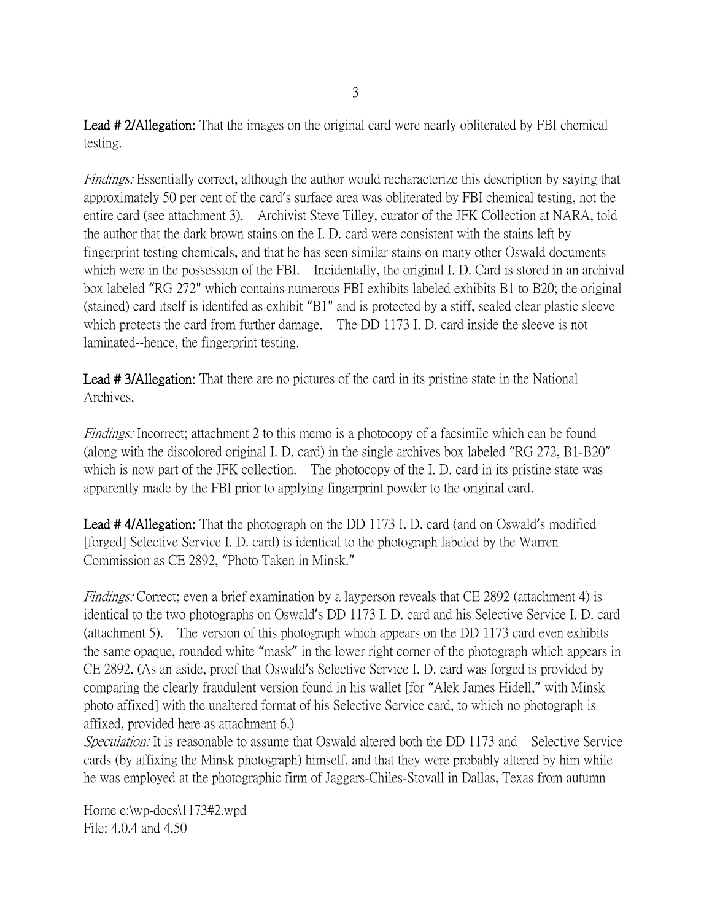Lead #2/Allegation: That the images on the original card were nearly obliterated by FBI chemical testing.

Findings: Essentially correct, although the author would recharacterize this description by saying that approximately 50 per cent of the card's surface area was obliterated by FBI chemical testing, not the entire card (see attachment 3). Archivist Steve Tilley, curator of the JFK Collection at NARA, told the author that the dark brown stains on the I. D. card were consistent with the stains left by fingerprint testing chemicals, and that he has seen similar stains on many other Oswald documents which were in the possession of the FBI. Incidentally, the original I. D. Card is stored in an archival box labeled "RG 272" which contains numerous FBI exhibits labeled exhibits B1 to B20; the original (stained) card itself is identifed as exhibit "B1" and is protected by a stiff, sealed clear plastic sleeve which protects the card from further damage. The DD 1173 I. D. card inside the sleeve is not laminated--hence, the fingerprint testing.

Lead #3/Allegation: That there are no pictures of the card in its pristine state in the National Archives.

Findings: Incorrect; attachment 2 to this memo is a photocopy of a facsimile which can be found (along with the discolored original I. D. card) in the single archives box labeled "RG 272, B1-B20" which is now part of the JFK collection. The photocopy of the I. D. card in its pristine state was apparently made by the FBI prior to applying fingerprint powder to the original card.

Lead #4/Allegation: That the photograph on the DD 1173 I. D. card (and on Oswald's modified [forged] Selective Service I. D. card) is identical to the photograph labeled by the Warren Commission as CE 2892, "Photo Taken in Minsk."

Findings: Correct; even a brief examination by a layperson reveals that CE 2892 (attachment 4) is identical to the two photographs on Oswald's DD 1173 I. D. card and his Selective Service I. D. card (attachment 5). The version of this photograph which appears on the DD 1173 card even exhibits the same opaque, rounded white "mask" in the lower right corner of the photograph which appears in CE 2892. (As an aside, proof that Oswald's Selective Service I. D. card was forged is provided by comparing the clearly fraudulent version found in his wallet [for "Alek James Hidell," with Minsk photo affixed] with the unaltered format of his Selective Service card, to which no photograph is affixed, provided here as attachment 6.)

Speculation: It is reasonable to assume that Oswald altered both the DD 1173 and Selective Service cards (by affixing the Minsk photograph) himself, and that they were probably altered by him while he was employed at the photographic firm of Jaggars-Chiles-Stovall in Dallas, Texas from autumn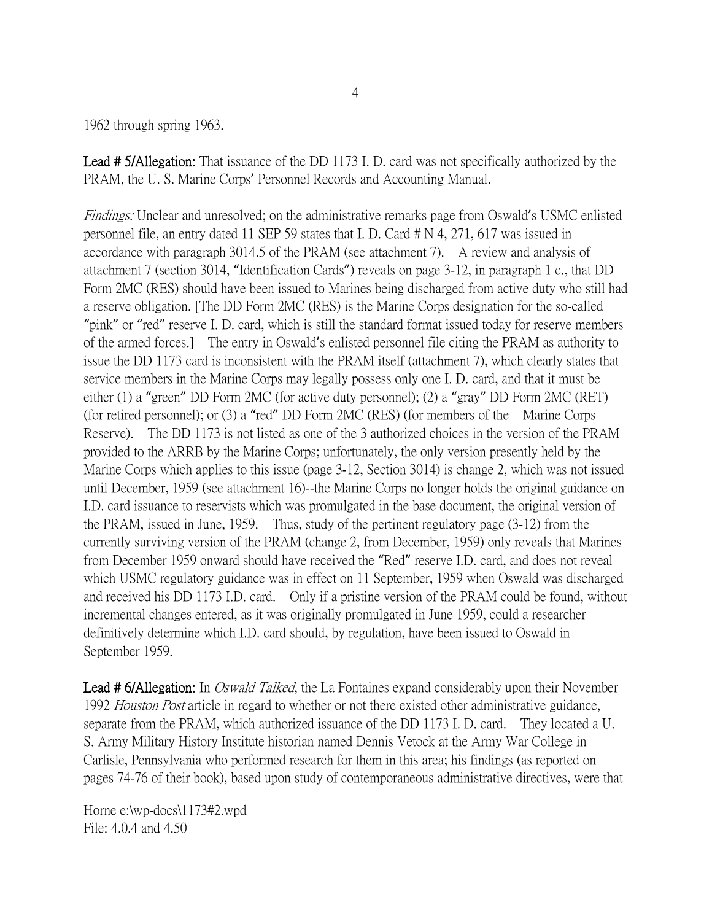1962 through spring 1963.

Lead # 5/Allegation: That issuance of the DD 1173 I. D. card was not specifically authorized by the PRAM, the U. S. Marine Corps' Personnel Records and Accounting Manual.

Findings: Unclear and unresolved; on the administrative remarks page from Oswald's USMC enlisted personnel file, an entry dated 11 SEP 59 states that I. D. Card # N 4, 271, 617 was issued in accordance with paragraph 3014.5 of the PRAM (see attachment 7). A review and analysis of attachment 7 (section 3014, "Identification Cards") reveals on page 3-12, in paragraph 1 c., that DD Form 2MC (RES) should have been issued to Marines being discharged from active duty who still had a reserve obligation. [The DD Form 2MC (RES) is the Marine Corps designation for the so-called "pink" or "red" reserve I. D. card, which is still the standard format issued today for reserve members of the armed forces.] The entry in Oswald's enlisted personnel file citing the PRAM as authority to issue the DD 1173 card is inconsistent with the PRAM itself (attachment 7), which clearly states that service members in the Marine Corps may legally possess only one I. D. card, and that it must be either (1) a "green" DD Form 2MC (for active duty personnel); (2) a "gray" DD Form 2MC (RET) (for retired personnel); or (3) a "red" DD Form 2MC (RES) (for members of the Marine Corps Reserve). The DD 1173 is not listed as one of the 3 authorized choices in the version of the PRAM provided to the ARRB by the Marine Corps; unfortunately, the only version presently held by the Marine Corps which applies to this issue (page 3-12, Section 3014) is change 2, which was not issued until December, 1959 (see attachment 16)--the Marine Corps no longer holds the original guidance on I.D. card issuance to reservists which was promulgated in the base document, the original version of the PRAM, issued in June, 1959. Thus, study of the pertinent regulatory page (3-12) from the currently surviving version of the PRAM (change 2, from December, 1959) only reveals that Marines from December 1959 onward should have received the "Red" reserve I.D. card, and does not reveal which USMC regulatory guidance was in effect on 11 September, 1959 when Oswald was discharged and received his DD 1173 I.D. card. Only if a pristine version of the PRAM could be found, without incremental changes entered, as it was originally promulgated in June 1959, could a researcher definitively determine which I.D. card should, by regulation, have been issued to Oswald in September 1959.

**Lead # 6/Allegation:** In *Oswald Talked*, the La Fontaines expand considerably upon their November 1992 *Houston Post* article in regard to whether or not there existed other administrative guidance, separate from the PRAM, which authorized issuance of the DD 1173 I. D. card. They located a U. S. Army Military History Institute historian named Dennis Vetock at the Army War College in Carlisle, Pennsylvania who performed research for them in this area; his findings (as reported on pages 74-76 of their book), based upon study of contemporaneous administrative directives, were that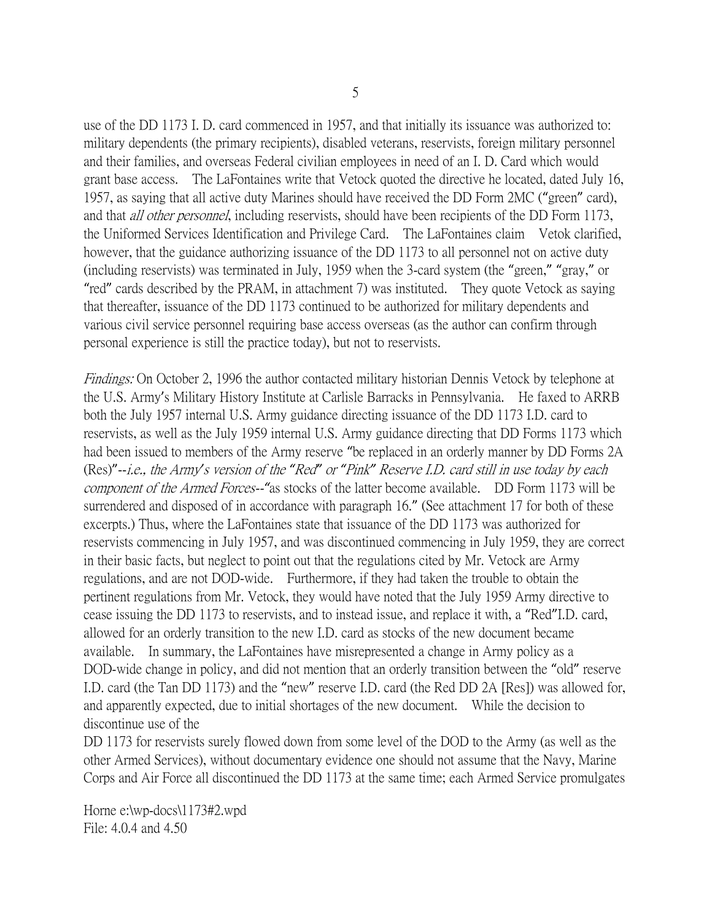use of the DD 1173 I. D. card commenced in 1957, and that initially its issuance was authorized to: military dependents (the primary recipients), disabled veterans, reservists, foreign military personnel and their families, and overseas Federal civilian employees in need of an I. D. Card which would grant base access. The LaFontaines write that Vetock quoted the directive he located, dated July 16, 1957, as saying that all active duty Marines should have received the DD Form 2MC ("green" card), and that *all other personnel*, including reservists, should have been recipients of the DD Form 1173, the Uniformed Services Identification and Privilege Card. The LaFontaines claim Vetok clarified, however, that the guidance authorizing issuance of the DD 1173 to all personnel not on active duty (including reservists) was terminated in July, 1959 when the 3-card system (the "green," "gray," or "red" cards described by the PRAM, in attachment 7) was instituted. They quote Vetock as saying that thereafter, issuance of the DD 1173 continued to be authorized for military dependents and various civil service personnel requiring base access overseas (as the author can confirm through personal experience is still the practice today), but not to reservists.

Findings: On October 2, 1996 the author contacted military historian Dennis Vetock by telephone at the U.S. Army's Military History Institute at Carlisle Barracks in Pennsylvania. He faxed to ARRB both the July 1957 internal U.S. Army guidance directing issuance of the DD 1173 I.D. card to reservists, as well as the July 1959 internal U.S. Army guidance directing that DD Forms 1173 which had been issued to members of the Army reserve "be replaced in an orderly manner by DD Forms 2A (Res)"--i.e., the Army*'*s version of the *"*Red*"* or *"*Pink*"* Reserve I.D. card still in use today by each component of the Armed Forces--*"*as stocks of the latter become available. DD Form 1173 will be surrendered and disposed of in accordance with paragraph 16." (See attachment 17 for both of these excerpts.) Thus, where the LaFontaines state that issuance of the DD 1173 was authorized for reservists commencing in July 1957, and was discontinued commencing in July 1959, they are correct in their basic facts, but neglect to point out that the regulations cited by Mr. Vetock are Army regulations, and are not DOD-wide. Furthermore, if they had taken the trouble to obtain the pertinent regulations from Mr. Vetock, they would have noted that the July 1959 Army directive to cease issuing the DD 1173 to reservists, and to instead issue, and replace it with, a "Red"I.D. card, allowed for an orderly transition to the new I.D. card as stocks of the new document became available. In summary, the LaFontaines have misrepresented a change in Army policy as a DOD-wide change in policy, and did not mention that an orderly transition between the "old" reserve I.D. card (the Tan DD 1173) and the "new" reserve I.D. card (the Red DD 2A [Res]) was allowed for, and apparently expected, due to initial shortages of the new document. While the decision to discontinue use of the

DD 1173 for reservists surely flowed down from some level of the DOD to the Army (as well as the other Armed Services), without documentary evidence one should not assume that the Navy, Marine Corps and Air Force all discontinued the DD 1173 at the same time; each Armed Service promulgates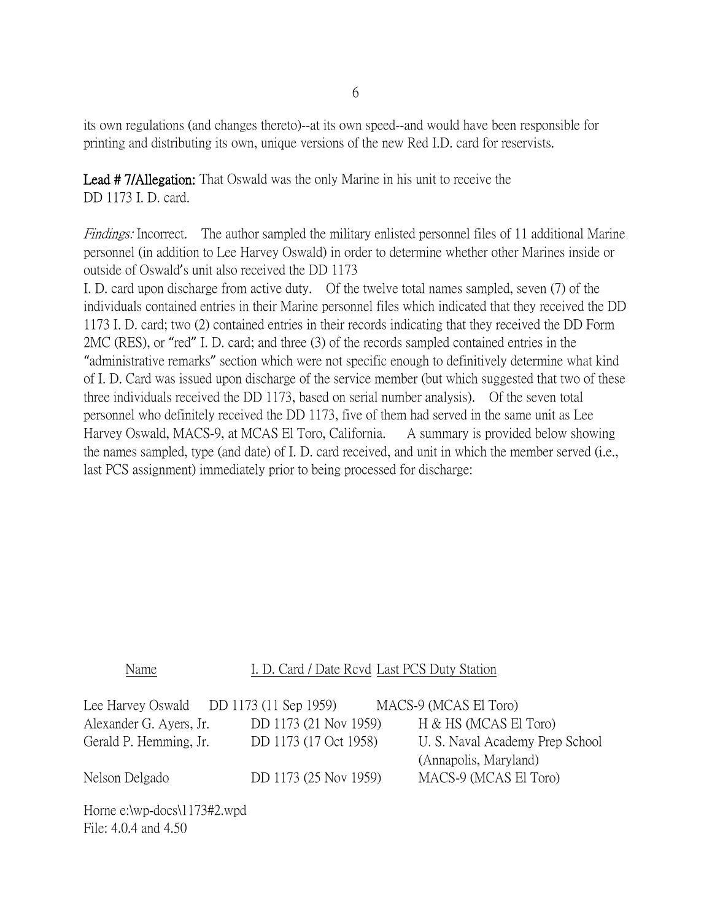its own regulations (and changes thereto)--at its own speed--and would have been responsible for printing and distributing its own, unique versions of the new Red I.D. card for reservists.

Lead # 7/Allegation: That Oswald was the only Marine in his unit to receive the DD 1173 I. D. card.

Findings: Incorrect. The author sampled the military enlisted personnel files of 11 additional Marine personnel (in addition to Lee Harvey Oswald) in order to determine whether other Marines inside or outside of Oswald's unit also received the DD 1173

I. D. card upon discharge from active duty. Of the twelve total names sampled, seven (7) of the individuals contained entries in their Marine personnel files which indicated that they received the DD 1173 I. D. card; two (2) contained entries in their records indicating that they received the DD Form 2MC (RES), or "red" I. D. card; and three (3) of the records sampled contained entries in the "administrative remarks" section which were not specific enough to definitively determine what kind of I. D. Card was issued upon discharge of the service member (but which suggested that two of these three individuals received the DD 1173, based on serial number analysis). Of the seven total personnel who definitely received the DD 1173, five of them had served in the same unit as Lee Harvey Oswald, MACS-9, at MCAS El Toro, California. A summary is provided below showing the names sampled, type (and date) of I. D. card received, and unit in which the member served (i.e., last PCS assignment) immediately prior to being processed for discharge:

## Name I. D. Card / Date Rcvd Last PCS Duty Station

| Lee Harvey Oswald DD 1173 $(11$ Sep 1959) |                       | MACS-9 (MCAS El Toro)           |
|-------------------------------------------|-----------------------|---------------------------------|
| Alexander G. Ayers, Jr.                   | DD 1173 (21 Nov 1959) | H & HS (MCAS El Toro)           |
| Gerald P. Hemming, Jr.                    | DD 1173 (17 Oct 1958) | U. S. Naval Academy Prep School |
|                                           |                       | (Annapolis, Maryland)           |
| Nelson Delgado                            | DD 1173 (25 Nov 1959) | MACS-9 (MCAS El Toro)           |
|                                           |                       |                                 |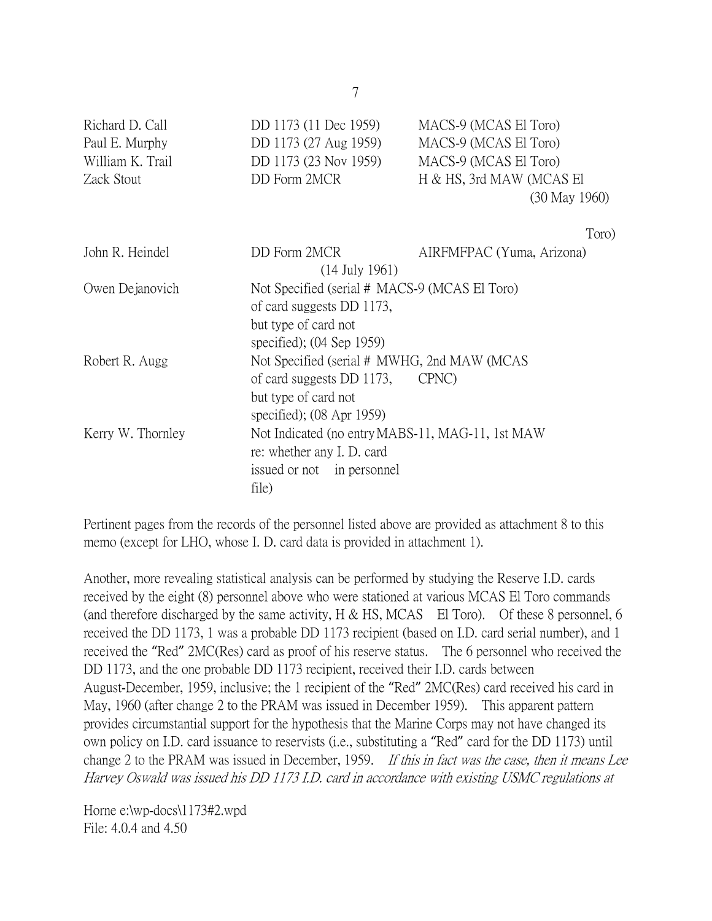| Richard D. Call<br>Paul E. Murphy<br>William K. Trail<br>Zack Stout | DD 1173 (11 Dec 1959)<br>DD 1173 (27 Aug 1959)<br>DD 1173 (23 Nov 1959)<br>DD Form 2MCR                                                        | MACS-9 (MCAS El Toro)<br>MACS-9 (MCAS El Toro)<br>MACS-9 (MCAS El Toro)<br>H & HS, 3rd MAW (MCAS El<br>$(30$ May $1960)$ |
|---------------------------------------------------------------------|------------------------------------------------------------------------------------------------------------------------------------------------|--------------------------------------------------------------------------------------------------------------------------|
|                                                                     |                                                                                                                                                | Toro)                                                                                                                    |
| John R. Heindel                                                     | DD Form 2MCR<br>(14 July 1961)                                                                                                                 | AIRFMFPAC (Yuma, Arizona)                                                                                                |
| Owen Dejanovich                                                     | Not Specified (serial # MACS-9 (MCAS El Toro)<br>of card suggests DD 1173,<br>but type of card not<br>specified); $(04$ Sep 1959)              |                                                                                                                          |
| Robert R. Augg                                                      | Not Specified (serial # MWHG, 2nd MAW (MCAS<br>of card suggests DD 1173, CPNC)<br>but type of card not<br>specified); $(08 \text{ Apr } 1959)$ |                                                                                                                          |
| Kerry W. Thornley                                                   | Not Indicated (no entry MABS-11, MAG-11, 1st MAW)<br>re: whether any I. D. card<br>issued or not in personnel<br>file)                         |                                                                                                                          |

Pertinent pages from the records of the personnel listed above are provided as attachment 8 to this memo (except for LHO, whose I. D. card data is provided in attachment 1).

Another, more revealing statistical analysis can be performed by studying the Reserve I.D. cards received by the eight (8) personnel above who were stationed at various MCAS El Toro commands (and therefore discharged by the same activity, H & HS, MCAS El Toro). Of these 8 personnel, 6 received the DD 1173, 1 was a probable DD 1173 recipient (based on I.D. card serial number), and 1 received the "Red" 2MC(Res) card as proof of his reserve status. The 6 personnel who received the DD 1173, and the one probable DD 1173 recipient, received their I.D. cards between August-December, 1959, inclusive; the 1 recipient of the "Red" 2MC(Res) card received his card in May, 1960 (after change 2 to the PRAM was issued in December 1959). This apparent pattern provides circumstantial support for the hypothesis that the Marine Corps may not have changed its own policy on I.D. card issuance to reservists (i.e., substituting a "Red" card for the DD 1173) until change 2 to the PRAM was issued in December, 1959. If this in fact was the case, then it means Lee Harvey Oswald was issued his DD 1173 I.D. card in accordance with existing USMC regulations at

Horne e:\wp-docs\1173#2.wpd File: 4.0.4 and 4.50

7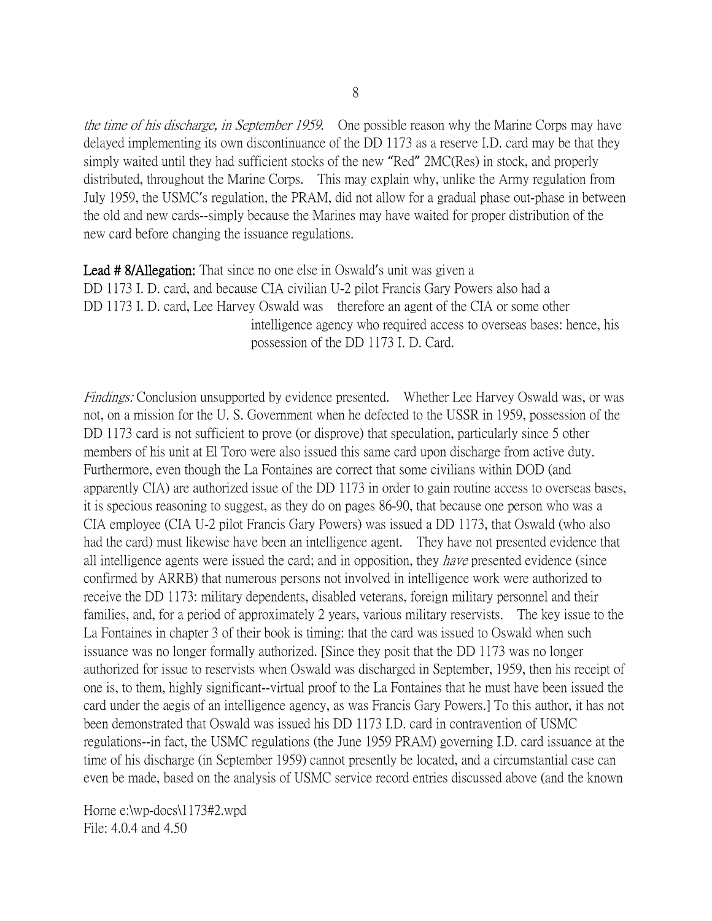the time of his discharge, in September 1959. One possible reason why the Marine Corps may have delayed implementing its own discontinuance of the DD 1173 as a reserve I.D. card may be that they simply waited until they had sufficient stocks of the new "Red" 2MC(Res) in stock, and properly distributed, throughout the Marine Corps. This may explain why, unlike the Army regulation from July 1959, the USMC's regulation, the PRAM, did not allow for a gradual phase out-phase in between the old and new cards--simply because the Marines may have waited for proper distribution of the new card before changing the issuance regulations.

Lead # 8/Allegation: That since no one else in Oswald's unit was given a DD 1173 I. D. card, and because CIA civilian U-2 pilot Francis Gary Powers also had a DD 1173 I. D. card, Lee Harvey Oswald was therefore an agent of the CIA or some other intelligence agency who required access to overseas bases: hence, his possession of the DD 1173 I. D. Card.

Findings: Conclusion unsupported by evidence presented. Whether Lee Harvey Oswald was, or was not, on a mission for the U. S. Government when he defected to the USSR in 1959, possession of the DD 1173 card is not sufficient to prove (or disprove) that speculation, particularly since 5 other members of his unit at El Toro were also issued this same card upon discharge from active duty. Furthermore, even though the La Fontaines are correct that some civilians within DOD (and apparently CIA) are authorized issue of the DD 1173 in order to gain routine access to overseas bases, it is specious reasoning to suggest, as they do on pages 86-90, that because one person who was a CIA employee (CIA U-2 pilot Francis Gary Powers) was issued a DD 1173, that Oswald (who also had the card) must likewise have been an intelligence agent. They have not presented evidence that all intelligence agents were issued the card; and in opposition, they *have* presented evidence (since confirmed by ARRB) that numerous persons not involved in intelligence work were authorized to receive the DD 1173: military dependents, disabled veterans, foreign military personnel and their families, and, for a period of approximately 2 years, various military reservists. The key issue to the La Fontaines in chapter 3 of their book is timing: that the card was issued to Oswald when such issuance was no longer formally authorized. [Since they posit that the DD 1173 was no longer authorized for issue to reservists when Oswald was discharged in September, 1959, then his receipt of one is, to them, highly significant--virtual proof to the La Fontaines that he must have been issued the card under the aegis of an intelligence agency, as was Francis Gary Powers.] To this author, it has not been demonstrated that Oswald was issued his DD 1173 I.D. card in contravention of USMC regulations--in fact, the USMC regulations (the June 1959 PRAM) governing I.D. card issuance at the time of his discharge (in September 1959) cannot presently be located, and a circumstantial case can even be made, based on the analysis of USMC service record entries discussed above (and the known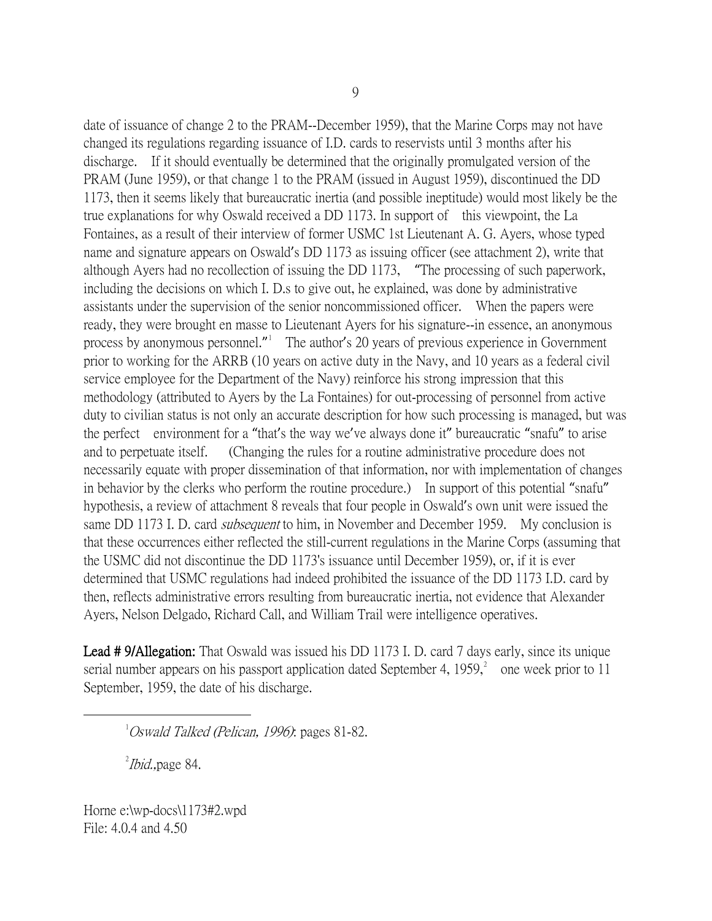date of issuance of change 2 to the PRAM--December 1959), that the Marine Corps may not have changed its regulations regarding issuance of I.D. cards to reservists until 3 months after his discharge. If it should eventually be determined that the originally promulgated version of the PRAM (June 1959), or that change 1 to the PRAM (issued in August 1959), discontinued the DD 1173, then it seems likely that bureaucratic inertia (and possible ineptitude) would most likely be the true explanations for why Oswald received a DD 1173. In support of this viewpoint, the La Fontaines, as a result of their interview of former USMC 1st Lieutenant A. G. Ayers, whose typed name and signature appears on Oswald's DD 1173 as issuing officer (see attachment 2), write that although Ayers had no recollection of issuing the DD 1173, "The processing of such paperwork, including the decisions on which I. D.s to give out, he explained, was done by administrative assistants under the supervision of the senior noncommissioned officer. When the papers were ready, they were brought en masse to Lieutenant Ayers for his signature--in essence, an anonymous process by anonymous personnel." The author's 20 years of previous experience in Government prior to working for the ARRB (10 years on active duty in the Navy, and 10 years as a federal civil service employee for the Department of the Navy) reinforce his strong impression that this methodology (attributed to Ayers by the La Fontaines) for out-processing of personnel from active duty to civilian status is not only an accurate description for how such processing is managed, but was the perfect environment for a "that's the way we've always done it" bureaucratic "snafu" to arise and to perpetuate itself. (Changing the rules for a routine administrative procedure does not necessarily equate with proper dissemination of that information, nor with implementation of changes in behavior by the clerks who perform the routine procedure.) In support of this potential "snafu" hypothesis, a review of attachment 8 reveals that four people in Oswald's own unit were issued the same DD 1173 I. D. card *subsequent* to him, in November and December 1959. My conclusion is that these occurrences either reflected the still-current regulations in the Marine Corps (assuming that the USMC did not discontinue the DD 1173's issuance until December 1959), or, if it is ever determined that USMC regulations had indeed prohibited the issuance of the DD 1173 I.D. card by then, reflects administrative errors resulting from bureaucratic inertia, not evidence that Alexander Ayers, Nelson Delgado, Richard Call, and William Trail were intelligence operatives.

Lead # 9/Allegation: That Oswald was issued his DD 1173 I. D. card 7 days early, since its unique serial number appears on his passport application dated September 4,  $1959$ ,  $^{2}$  $^{2}$  $^{2}$  one week prior to 11 September, 1959, the date of his discharge.

<span id="page-8-1"></span><span id="page-8-0"></span> $\overline{\phantom{a}}$  $1$ Oswald Talked (Pelican, 1996): pages 81-82.

 $^{2}$ *Ibid.*, page 84.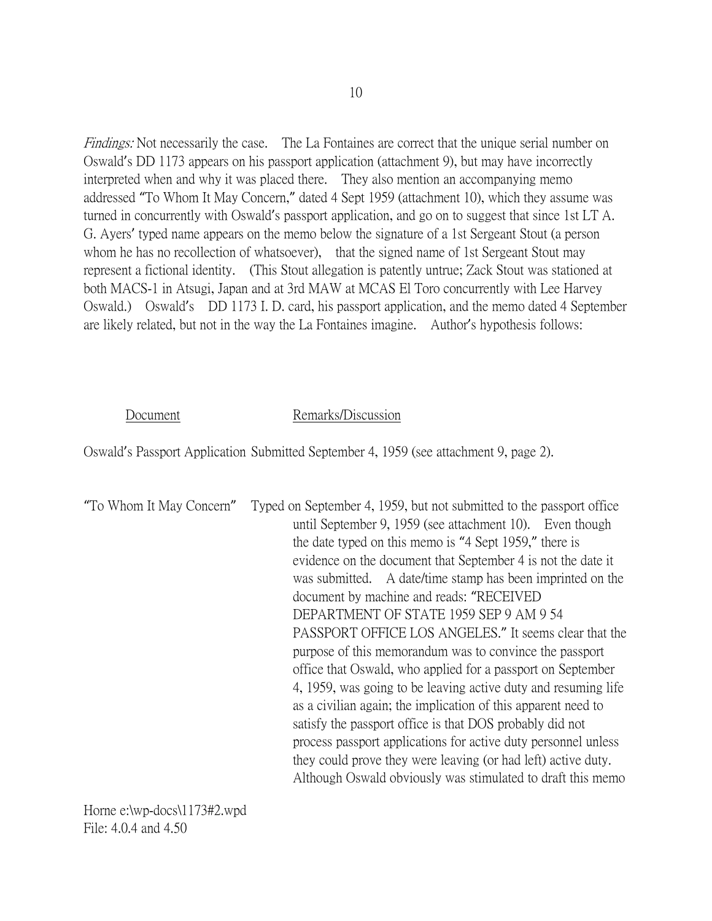Findings: Not necessarily the case. The La Fontaines are correct that the unique serial number on Oswald's DD 1173 appears on his passport application (attachment 9), but may have incorrectly interpreted when and why it was placed there. They also mention an accompanying memo addressed "To Whom It May Concern," dated 4 Sept 1959 (attachment 10), which they assume was turned in concurrently with Oswald's passport application, and go on to suggest that since 1st LT A. G. Ayers' typed name appears on the memo below the signature of a 1st Sergeant Stout (a person whom he has no recollection of whatsoever), that the signed name of 1st Sergeant Stout may represent a fictional identity. (This Stout allegation is patently untrue; Zack Stout was stationed at both MACS-1 in Atsugi, Japan and at 3rd MAW at MCAS El Toro concurrently with Lee Harvey Oswald.) Oswald's DD 1173 I. D. card, his passport application, and the memo dated 4 September are likely related, but not in the way the La Fontaines imagine. Author's hypothesis follows:

### Document Remarks/Discussion

Oswald's Passport Application Submitted September 4, 1959 (see attachment 9, page 2).

"To Whom It May Concern" Typed on September 4, 1959, but not submitted to the passport office until September 9, 1959 (see attachment 10). Even though the date typed on this memo is "4 Sept 1959," there is evidence on the document that September 4 is not the date it was submitted. A date/time stamp has been imprinted on the document by machine and reads: "RECEIVED DEPARTMENT OF STATE 1959 SEP 9 AM 9 54 PASSPORT OFFICE LOS ANGELES." It seems clear that the purpose of this memorandum was to convince the passport office that Oswald, who applied for a passport on September 4, 1959, was going to be leaving active duty and resuming life as a civilian again; the implication of this apparent need to satisfy the passport office is that DOS probably did not process passport applications for active duty personnel unless they could prove they were leaving (or had left) active duty. Although Oswald obviously was stimulated to draft this memo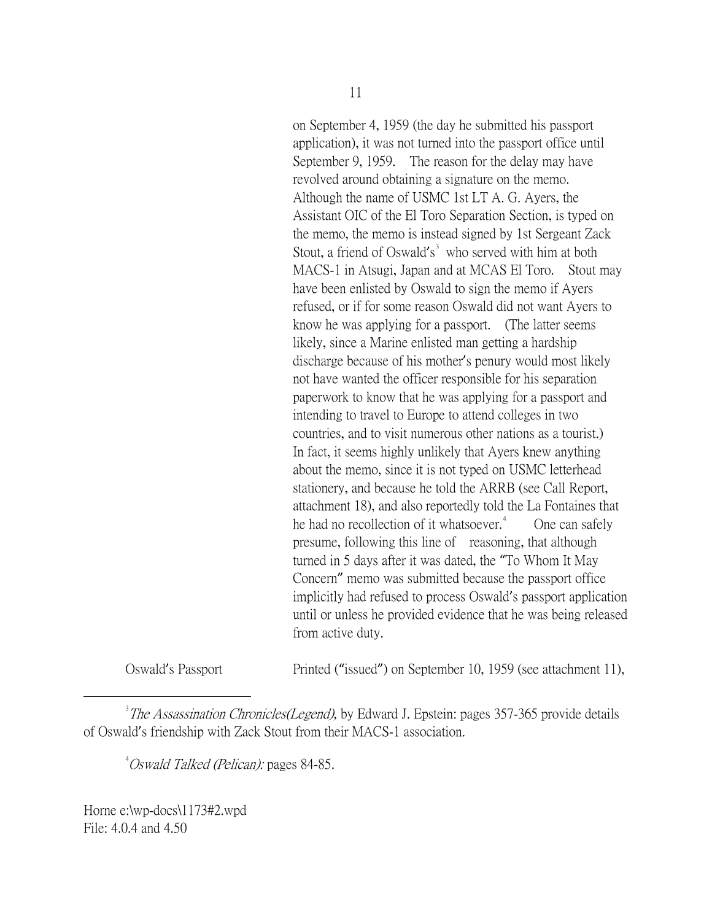on September 4, 1959 (the day he submitted his passport application), it was not turned into the passport office until September 9, 1959. The reason for the delay may have revolved around obtaining a signature on the memo. Although the name of USMC 1st LT A. G. Ayers, the Assistant OIC of the El Toro Separation Section, is typed on the memo, the memo is instead signed by 1st Sergeant Zack Stout, a friend of Oswald's<sup>[3](#page-10-0)</sup> who served with him at both MACS-1 in Atsugi, Japan and at MCAS El Toro. Stout may have been enlisted by Oswald to sign the memo if Ayers refused, or if for some reason Oswald did not want Ayers to know he was applying for a passport. (The latter seems likely, since a Marine enlisted man getting a hardship discharge because of his mother's penury would most likely not have wanted the officer responsible for his separation paperwork to know that he was applying for a passport and intending to travel to Europe to attend colleges in two countries, and to visit numerous other nations as a tourist.) In fact, it seems highly unlikely that Ayers knew anything about the memo, since it is not typed on USMC letterhead stationery, and because he told the ARRB (see Call Report, attachment 18), and also reportedly told the La Fontaines that he had no recollection of it whatsoever.<sup>[4](#page-10-1)</sup> One can safely presume, following this line of reasoning, that although turned in 5 days after it was dated, the "To Whom It May Concern" memo was submitted because the passport office implicitly had refused to process Oswald's passport application until or unless he provided evidence that he was being released from active duty.

Oswald's Passport Printed ("issued") on September 10, 1959 (see attachment 11),

<span id="page-10-1"></span><span id="page-10-0"></span> $\frac{1}{3}$  $3$ The Assassination Chronicles(Legend), by Edward J. Epstein: pages 357-365 provide details of Oswald's friendship with Zack Stout from their MACS-1 association.

<sup>4</sup>Oswald Talked (Pelican): pages 84-85.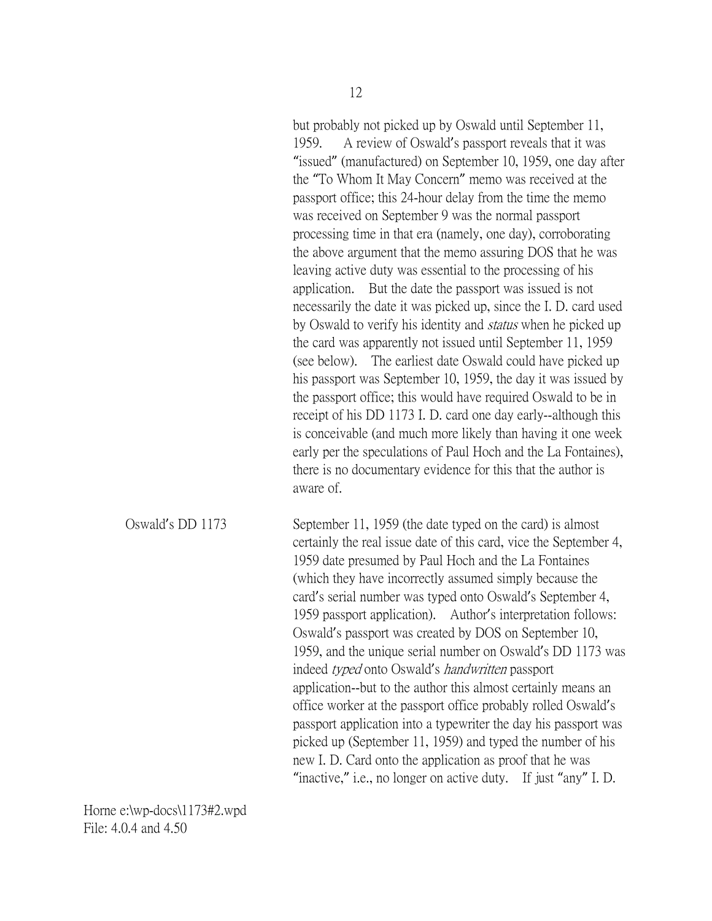but probably not picked up by Oswald until September 11, 1959. A review of Oswald's passport reveals that it was "issued" (manufactured) on September 10, 1959, one day after the "To Whom It May Concern" memo was received at the passport office; this 24-hour delay from the time the memo was received on September 9 was the normal passport processing time in that era (namely, one day), corroborating the above argument that the memo assuring DOS that he was leaving active duty was essential to the processing of his application. But the date the passport was issued is not necessarily the date it was picked up, since the I. D. card used by Oswald to verify his identity and *status* when he picked up the card was apparently not issued until September 11, 1959 (see below). The earliest date Oswald could have picked up his passport was September 10, 1959, the day it was issued by the passport office; this would have required Oswald to be in receipt of his DD 1173 I. D. card one day early--although this is conceivable (and much more likely than having it one week early per the speculations of Paul Hoch and the La Fontaines), there is no documentary evidence for this that the author is aware of.

Oswald's DD 1173 September 11, 1959 (the date typed on the card) is almost certainly the real issue date of this card, vice the September 4, 1959 date presumed by Paul Hoch and the La Fontaines (which they have incorrectly assumed simply because the card's serial number was typed onto Oswald's September 4, 1959 passport application). Author's interpretation follows: Oswald's passport was created by DOS on September 10, 1959, and the unique serial number on Oswald's DD 1173 was indeed typed onto Oswald's handwritten passport application--but to the author this almost certainly means an office worker at the passport office probably rolled Oswald's passport application into a typewriter the day his passport was picked up (September 11, 1959) and typed the number of his new I. D. Card onto the application as proof that he was "inactive," i.e., no longer on active duty. If just "any" I. D.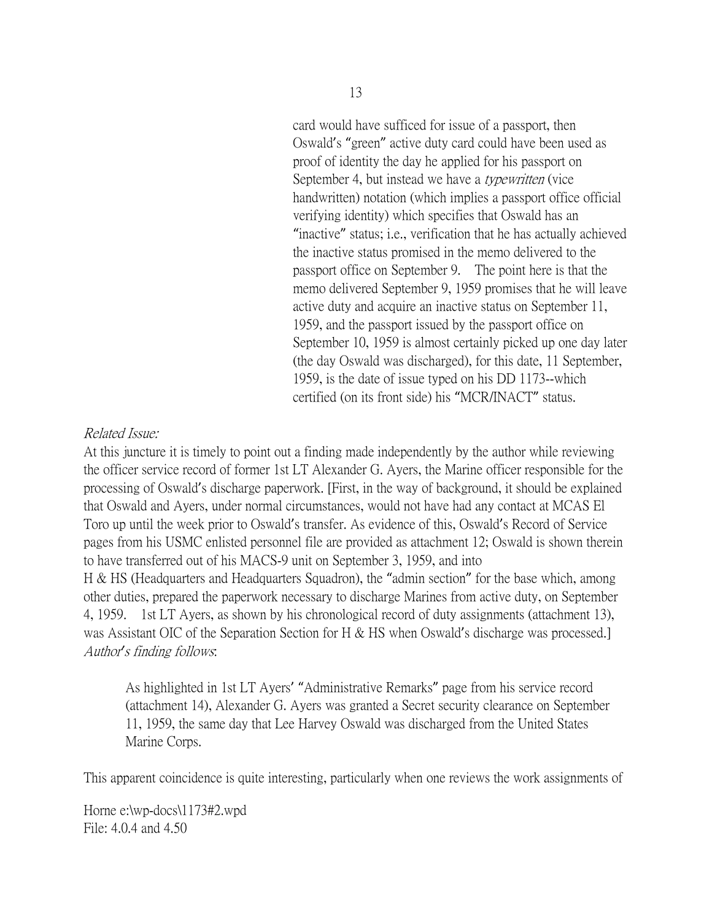card would have sufficed for issue of a passport, then Oswald's "green" active duty card could have been used as proof of identity the day he applied for his passport on September 4, but instead we have a *typewritten* (vice handwritten) notation (which implies a passport office official verifying identity) which specifies that Oswald has an "inactive" status; i.e., verification that he has actually achieved the inactive status promised in the memo delivered to the passport office on September 9. The point here is that the memo delivered September 9, 1959 promises that he will leave active duty and acquire an inactive status on September 11, 1959, and the passport issued by the passport office on September 10, 1959 is almost certainly picked up one day later (the day Oswald was discharged), for this date, 11 September, 1959, is the date of issue typed on his DD 1173--which certified (on its front side) his "MCR/INACT" status.

### Related Issue:

At this juncture it is timely to point out a finding made independently by the author while reviewing the officer service record of former 1st LT Alexander G. Ayers, the Marine officer responsible for the processing of Oswald's discharge paperwork. [First, in the way of background, it should be explained that Oswald and Ayers, under normal circumstances, would not have had any contact at MCAS El Toro up until the week prior to Oswald's transfer. As evidence of this, Oswald's Record of Service pages from his USMC enlisted personnel file are provided as attachment 12; Oswald is shown therein to have transferred out of his MACS-9 unit on September 3, 1959, and into H & HS (Headquarters and Headquarters Squadron), the "admin section" for the base which, among other duties, prepared the paperwork necessary to discharge Marines from active duty, on September 4, 1959. 1st LT Ayers, as shown by his chronological record of duty assignments (attachment 13), was Assistant OIC of the Separation Section for H & HS when Oswald's discharge was processed. Author*'*s finding follows:

As highlighted in 1st LT Ayers' "Administrative Remarks" page from his service record (attachment 14), Alexander G. Ayers was granted a Secret security clearance on September 11, 1959, the same day that Lee Harvey Oswald was discharged from the United States Marine Corps.

This apparent coincidence is quite interesting, particularly when one reviews the work assignments of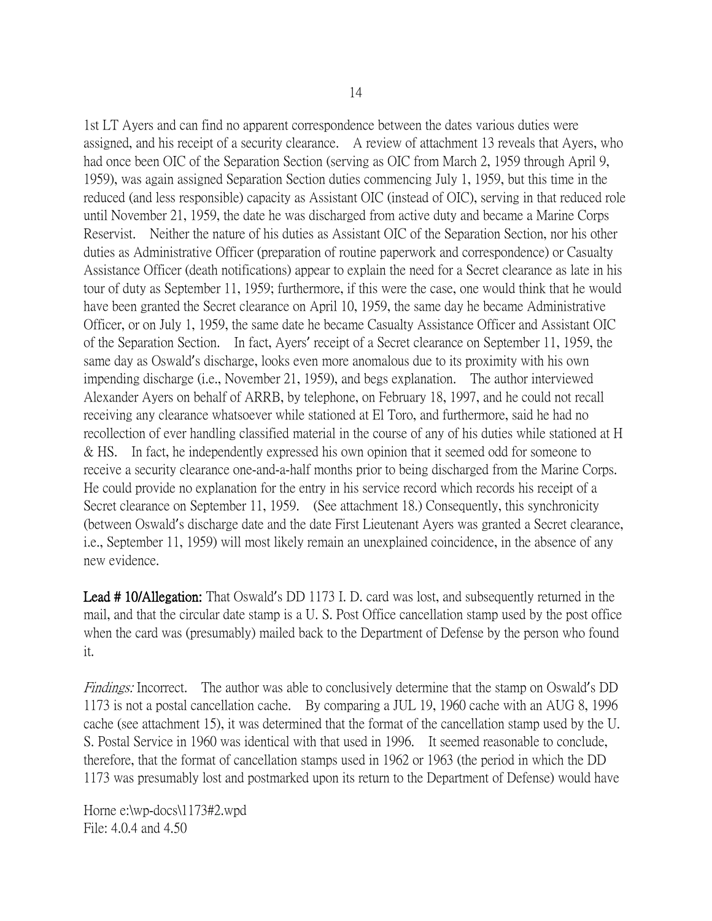1st LT Ayers and can find no apparent correspondence between the dates various duties were assigned, and his receipt of a security clearance. A review of attachment 13 reveals that Ayers, who had once been OIC of the Separation Section (serving as OIC from March 2, 1959 through April 9, 1959), was again assigned Separation Section duties commencing July 1, 1959, but this time in the reduced (and less responsible) capacity as Assistant OIC (instead of OIC), serving in that reduced role until November 21, 1959, the date he was discharged from active duty and became a Marine Corps Reservist. Neither the nature of his duties as Assistant OIC of the Separation Section, nor his other duties as Administrative Officer (preparation of routine paperwork and correspondence) or Casualty Assistance Officer (death notifications) appear to explain the need for a Secret clearance as late in his tour of duty as September 11, 1959; furthermore, if this were the case, one would think that he would have been granted the Secret clearance on April 10, 1959, the same day he became Administrative Officer, or on July 1, 1959, the same date he became Casualty Assistance Officer and Assistant OIC of the Separation Section. In fact, Ayers' receipt of a Secret clearance on September 11, 1959, the same day as Oswald's discharge, looks even more anomalous due to its proximity with his own impending discharge (i.e., November 21, 1959), and begs explanation. The author interviewed Alexander Ayers on behalf of ARRB, by telephone, on February 18, 1997, and he could not recall receiving any clearance whatsoever while stationed at El Toro, and furthermore, said he had no recollection of ever handling classified material in the course of any of his duties while stationed at H & HS. In fact, he independently expressed his own opinion that it seemed odd for someone to receive a security clearance one-and-a-half months prior to being discharged from the Marine Corps. He could provide no explanation for the entry in his service record which records his receipt of a Secret clearance on September 11, 1959. (See attachment 18.) Consequently, this synchronicity (between Oswald's discharge date and the date First Lieutenant Ayers was granted a Secret clearance, i.e., September 11, 1959) will most likely remain an unexplained coincidence, in the absence of any new evidence.

Lead # 10/Allegation: That Oswald's DD 1173 I. D. card was lost, and subsequently returned in the mail, and that the circular date stamp is a U. S. Post Office cancellation stamp used by the post office when the card was (presumably) mailed back to the Department of Defense by the person who found it.

Findings: Incorrect. The author was able to conclusively determine that the stamp on Oswald's DD 1173 is not a postal cancellation cache. By comparing a JUL 19, 1960 cache with an AUG 8, 1996 cache (see attachment 15), it was determined that the format of the cancellation stamp used by the U. S. Postal Service in 1960 was identical with that used in 1996. It seemed reasonable to conclude, therefore, that the format of cancellation stamps used in 1962 or 1963 (the period in which the DD 1173 was presumably lost and postmarked upon its return to the Department of Defense) would have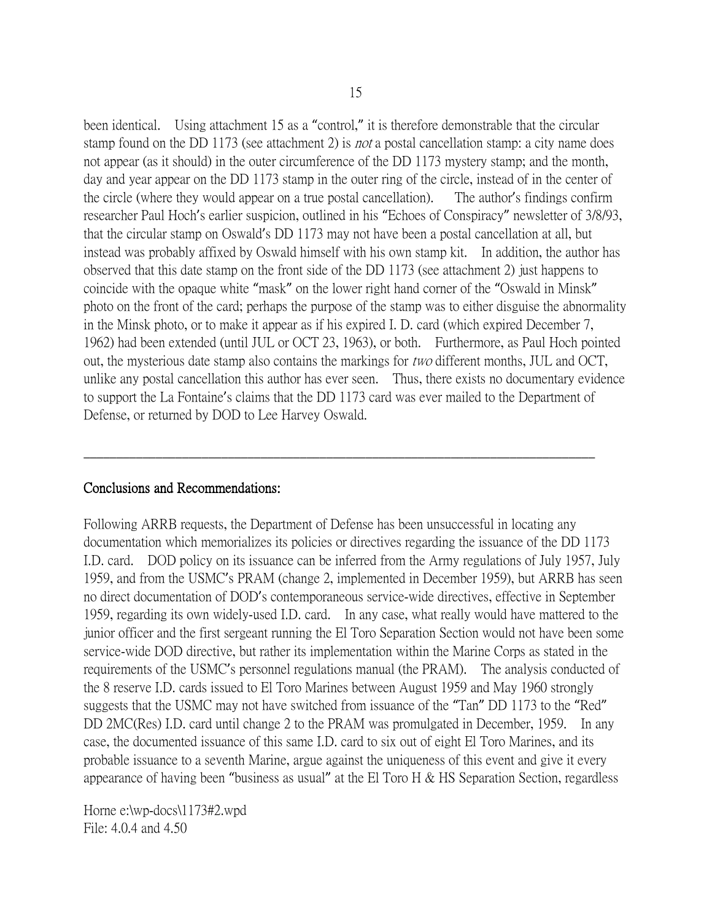been identical. Using attachment 15 as a "control," it is therefore demonstrable that the circular stamp found on the DD 1173 (see attachment 2) is not a postal cancellation stamp: a city name does not appear (as it should) in the outer circumference of the DD 1173 mystery stamp; and the month, day and year appear on the DD 1173 stamp in the outer ring of the circle, instead of in the center of the circle (where they would appear on a true postal cancellation). The author's findings confirm researcher Paul Hoch's earlier suspicion, outlined in his "Echoes of Conspiracy" newsletter of 3/8/93, that the circular stamp on Oswald's DD 1173 may not have been a postal cancellation at all, but instead was probably affixed by Oswald himself with his own stamp kit. In addition, the author has observed that this date stamp on the front side of the DD 1173 (see attachment 2) just happens to coincide with the opaque white "mask" on the lower right hand corner of the "Oswald in Minsk" photo on the front of the card; perhaps the purpose of the stamp was to either disguise the abnormality in the Minsk photo, or to make it appear as if his expired I. D. card (which expired December 7, 1962) had been extended (until JUL or OCT 23, 1963), or both. Furthermore, as Paul Hoch pointed out, the mysterious date stamp also contains the markings for two different months, JUL and OCT, unlike any postal cancellation this author has ever seen. Thus, there exists no documentary evidence to support the La Fontaine's claims that the DD 1173 card was ever mailed to the Department of Defense, or returned by DOD to Lee Harvey Oswald.

\_\_\_\_\_\_\_\_\_\_\_\_\_\_\_\_\_\_\_\_\_\_\_\_\_\_\_\_\_\_\_\_\_\_\_\_\_\_\_\_\_\_\_\_\_\_\_\_\_\_\_\_\_\_\_\_\_\_\_\_\_\_\_\_\_\_\_\_\_\_\_\_\_\_\_\_\_\_

### Conclusions and Recommendations:

Following ARRB requests, the Department of Defense has been unsuccessful in locating any documentation which memorializes its policies or directives regarding the issuance of the DD 1173 I.D. card. DOD policy on its issuance can be inferred from the Army regulations of July 1957, July 1959, and from the USMC's PRAM (change 2, implemented in December 1959), but ARRB has seen no direct documentation of DOD's contemporaneous service-wide directives, effective in September 1959, regarding its own widely-used I.D. card. In any case, what really would have mattered to the junior officer and the first sergeant running the El Toro Separation Section would not have been some service-wide DOD directive, but rather its implementation within the Marine Corps as stated in the requirements of the USMC's personnel regulations manual (the PRAM). The analysis conducted of the 8 reserve I.D. cards issued to El Toro Marines between August 1959 and May 1960 strongly suggests that the USMC may not have switched from issuance of the "Tan" DD 1173 to the "Red" DD 2MC(Res) I.D. card until change 2 to the PRAM was promulgated in December, 1959. In any case, the documented issuance of this same I.D. card to six out of eight El Toro Marines, and its probable issuance to a seventh Marine, argue against the uniqueness of this event and give it every appearance of having been "business as usual" at the El Toro H & HS Separation Section, regardless